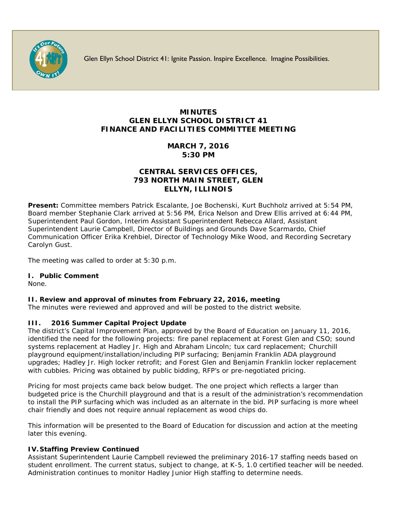

Glen Ellyn School District 41: Ignite Passion. Inspire Excellence. Imagine Possibilities.

# **MINUTES GLEN ELLYN SCHOOL DISTRICT 41 FINANCE AND FACILITIES COMMITTEE MEETING**

## **MARCH 7, 2016 5:30 PM**

## **CENTRAL SERVICES OFFICES, 793 NORTH MAIN STREET, GLEN ELLYN, ILLINOIS**

**Present:** Committee members Patrick Escalante, Joe Bochenski, Kurt Buchholz arrived at 5:54 PM, Board member Stephanie Clark arrived at 5:56 PM, Erica Nelson and Drew Ellis arrived at 6:44 PM, Superintendent Paul Gordon, Interim Assistant Superintendent Rebecca Allard, Assistant Superintendent Laurie Campbell, Director of Buildings and Grounds Dave Scarmardo, Chief Communication Officer [Erika Krehbiel,](http://www.d41.org/contact_email.asp?id=ekrehbiel&n=Erika_Krehbiel) Director of Technology Mike Wood, and Recording Secretary Carolyn Gust.

The meeting was called to order at 5:30 p.m.

## **I. Public Comment**

None.

## **II. Review and approval of minutes from February 22, 2016, meeting**

The minutes were reviewed and approved and will be posted to the district website.

## **III. 2016 Summer Capital Project Update**

The district's Capital Improvement Plan, approved by the Board of Education on January 11, 2016, identified the need for the following projects: fire panel replacement at Forest Glen and CSO; sound systems replacement at Hadley Jr. High and Abraham Lincoln; tux card replacement; Churchill playground equipment/installation/including PIP surfacing; Benjamin Franklin ADA playground upgrades; Hadley Jr. High locker retrofit; and Forest Glen and Benjamin Franklin locker replacement with cubbies. Pricing was obtained by public bidding, RFP's or pre-negotiated pricing.

Pricing for most projects came back below budget. The one project which reflects a larger than budgeted price is the Churchill playground and that is a result of the administration's recommendation to install the PIP surfacing which was included as an alternate in the bid. PIP surfacing is more wheel chair friendly and does not require annual replacement as wood chips do.

This information will be presented to the Board of Education for discussion and action at the meeting later this evening.

## **IV. Staffing Preview Continued**

Assistant Superintendent Laurie Campbell reviewed the preliminary 2016-17 staffing needs based on student enrollment. The current status, subject to change, at K-5, 1.0 certified teacher will be needed. Administration continues to monitor Hadley Junior High staffing to determine needs.